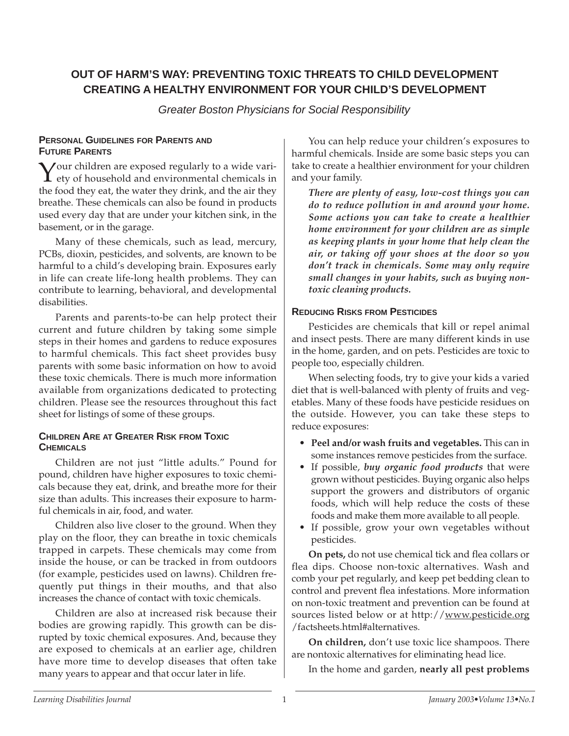# **OUT OF HARM'S WAY: PREVENTING TOXIC THREATS TO CHILD DEVELOPMENT CREATING A HEALTHY ENVIRONMENT FOR YOUR CHILD'S DEVELOPMENT**

Greater Boston Physicians for Social Responsibility

#### **PERSONAL GUIDELINES FOR PARENTS AND FUTURE PARENTS**

**Y** our children are exposed regularly to a wide vari-<br>ety of household and environmental chemicals in the food they eat, the water they drink, and the air they breathe. These chemicals can also be found in products used every day that are under your kitchen sink, in the basement, or in the garage.

Many of these chemicals, such as lead, mercury, PCBs, dioxin, pesticides, and solvents, are known to be harmful to a child's developing brain. Exposures early in life can create life-long health problems. They can contribute to learning, behavioral, and developmental disabilities.

Parents and parents-to-be can help protect their current and future children by taking some simple steps in their homes and gardens to reduce exposures to harmful chemicals. This fact sheet provides busy parents with some basic information on how to avoid these toxic chemicals. There is much more information available from organizations dedicated to protecting children. Please see the resources throughout this fact sheet for listings of some of these groups.

### **CHILDREN ARE AT GREATER RISK FROM TOXIC CHEMICALS**

Children are not just "little adults." Pound for pound, children have higher exposures to toxic chemicals because they eat, drink, and breathe more for their size than adults. This increases their exposure to harmful chemicals in air, food, and water.

Children also live closer to the ground. When they play on the floor, they can breathe in toxic chemicals trapped in carpets. These chemicals may come from inside the house, or can be tracked in from outdoors (for example, pesticides used on lawns). Children frequently put things in their mouths, and that also increases the chance of contact with toxic chemicals.

Children are also at increased risk because their bodies are growing rapidly. This growth can be disrupted by toxic chemical exposures. And, because they are exposed to chemicals at an earlier age, children have more time to develop diseases that often take many years to appear and that occur later in life.

You can help reduce your children's exposures to harmful chemicals. Inside are some basic steps you can take to create a healthier environment for your children and your family.

*There are plenty of easy, low-cost things you can do to reduce pollution in and around your home. Some actions you can take to create a healthier home environment for your children are as simple as keeping plants in your home that help clean the air, or taking off your shoes at the door so you don't track in chemicals. Some may only require small changes in your habits, such as buying nontoxic cleaning products.* 

### **REDUCING RISKS FROM PESTICIDES**

Pesticides are chemicals that kill or repel animal and insect pests. There are many different kinds in use in the home, garden, and on pets. Pesticides are toxic to people too, especially children.

When selecting foods, try to give your kids a varied diet that is well-balanced with plenty of fruits and vegetables. Many of these foods have pesticide residues on the outside. However, you can take these steps to reduce exposures:

- **Peel and/or wash fruits and vegetables.** This can in some instances remove pesticides from the surface.
- If possible, *buy organic food products* that were grown without pesticides. Buying organic also helps support the growers and distributors of organic foods, which will help reduce the costs of these foods and make them more available to all people.
- If possible, grow your own vegetables without pesticides.

**On pets,** do not use chemical tick and flea collars or flea dips. Choose non-toxic alternatives. Wash and comb your pet regularly, and keep pet bedding clean to control and prevent flea infestations. More information on non-toxic treatment and prevention can be found at sources listed below or at http://www.pesticide.org /factsheets.html#alternatives.

**On children,** don't use toxic lice shampoos. There are nontoxic alternatives for eliminating head lice.

In the home and garden, **nearly all pest problems**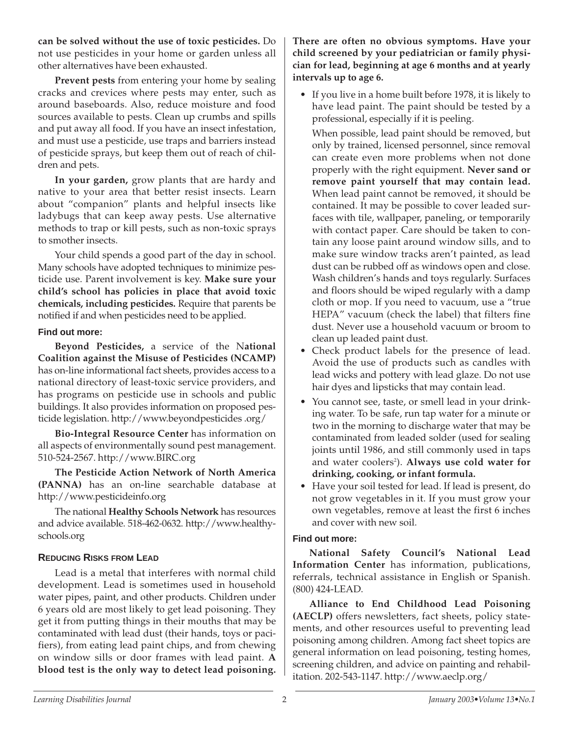**can be solved without the use of toxic pesticides.** Do not use pesticides in your home or garden unless all other alternatives have been exhausted.

**Prevent pests** from entering your home by sealing cracks and crevices where pests may enter, such as around baseboards. Also, reduce moisture and food sources available to pests. Clean up crumbs and spills and put away all food. If you have an insect infestation, and must use a pesticide, use traps and barriers instead of pesticide sprays, but keep them out of reach of children and pets.

**In your garden,** grow plants that are hardy and native to your area that better resist insects. Learn about "companion" plants and helpful insects like ladybugs that can keep away pests. Use alternative methods to trap or kill pests, such as non-toxic sprays to smother insects.

Your child spends a good part of the day in school. Many schools have adopted techniques to minimize pesticide use. Parent involvement is key. **Make sure your child's school has policies in place that avoid toxic chemicals, including pesticides.** Require that parents be notified if and when pesticides need to be applied.

### **Find out more:**

**Beyond Pesticides,** a service of the N**ational Coalition against the Misuse of Pesticides (NCAMP)** has on-line informational fact sheets, provides access to a national directory of least-toxic service providers, and has programs on pesticide use in schools and public buildings. It also provides information on proposed pesticide legislation. http://www.beyondpesticides .org/

**Bio-Integral Resource Center** has information on all aspects of environmentally sound pest management. 510-524-2567. http://www.BIRC.org

**The Pesticide Action Network of North America (PANNA)** has an on-line searchable database at http://www.pesticideinfo.org

The national **Healthy Schools Network** has resources and advice available. 518-462-0632. http://www.healthyschools.org

### **REDUCING RISKS FROM LEAD**

Lead is a metal that interferes with normal child development. Lead is sometimes used in household water pipes, paint, and other products. Children under 6 years old are most likely to get lead poisoning. They get it from putting things in their mouths that may be contaminated with lead dust (their hands, toys or pacifiers), from eating lead paint chips, and from chewing on window sills or door frames with lead paint. **A blood test is the only way to detect lead poisoning.**

**There are often no obvious symptoms. Have your child screened by your pediatrician or family physician for lead, beginning at age 6 months and at yearly intervals up to age 6.** 

• If you live in a home built before 1978, it is likely to have lead paint. The paint should be tested by a professional, especially if it is peeling.

When possible, lead paint should be removed, but only by trained, licensed personnel, since removal can create even more problems when not done properly with the right equipment. **Never sand or remove paint yourself that may contain lead.** When lead paint cannot be removed, it should be contained. It may be possible to cover leaded surfaces with tile, wallpaper, paneling, or temporarily with contact paper. Care should be taken to contain any loose paint around window sills, and to make sure window tracks aren't painted, as lead dust can be rubbed off as windows open and close. Wash children's hands and toys regularly. Surfaces and floors should be wiped regularly with a damp cloth or mop. If you need to vacuum, use a "true HEPA" vacuum (check the label) that filters fine dust. Never use a household vacuum or broom to clean up leaded paint dust.

- Check product labels for the presence of lead. Avoid the use of products such as candles with lead wicks and pottery with lead glaze. Do not use hair dyes and lipsticks that may contain lead.
- You cannot see, taste, or smell lead in your drinking water. To be safe, run tap water for a minute or two in the morning to discharge water that may be contaminated from leaded solder (used for sealing joints until 1986, and still commonly used in taps and water coolers<sup>2</sup>). **Always use cold water for drinking, cooking, or infant formula.**
- Have your soil tested for lead. If lead is present, do not grow vegetables in it. If you must grow your own vegetables, remove at least the first 6 inches and cover with new soil.

### **Find out more:**

**National Safety Council's National Lead Information Center** has information, publications, referrals, technical assistance in English or Spanish. (800) 424-LEAD.

**Alliance to End Childhood Lead Poisoning (AECLP)** offers newsletters, fact sheets, policy statements, and other resources useful to preventing lead poisoning among children. Among fact sheet topics are general information on lead poisoning, testing homes, screening children, and advice on painting and rehabilitation. 202-543-1147. http://www.aeclp.org/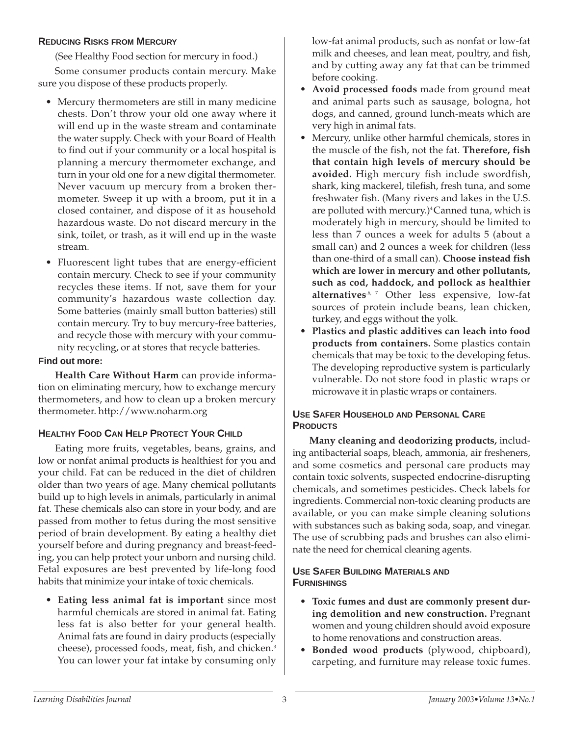## **REDUCING RISKS FROM MERCURY**

(See Healthy Food section for mercury in food.)

Some consumer products contain mercury. Make sure you dispose of these products properly.

- Mercury thermometers are still in many medicine chests. Don't throw your old one away where it will end up in the waste stream and contaminate the water supply. Check with your Board of Health to find out if your community or a local hospital is planning a mercury thermometer exchange, and turn in your old one for a new digital thermometer. Never vacuum up mercury from a broken thermometer. Sweep it up with a broom, put it in a closed container, and dispose of it as household hazardous waste. Do not discard mercury in the sink, toilet, or trash, as it will end up in the waste stream.
- Fluorescent light tubes that are energy-efficient contain mercury. Check to see if your community recycles these items. If not, save them for your community's hazardous waste collection day. Some batteries (mainly small button batteries) still contain mercury. Try to buy mercury-free batteries, and recycle those with mercury with your community recycling, or at stores that recycle batteries.

### **Find out more:**

**Health Care Without Harm** can provide information on eliminating mercury, how to exchange mercury thermometers, and how to clean up a broken mercury thermometer. http://www.noharm.org

# **HEALTHY FOOD CAN HELP PROTECT YOUR CHILD**

Eating more fruits, vegetables, beans, grains, and low or nonfat animal products is healthiest for you and your child. Fat can be reduced in the diet of children older than two years of age. Many chemical pollutants build up to high levels in animals, particularly in animal fat. These chemicals also can store in your body, and are passed from mother to fetus during the most sensitive period of brain development. By eating a healthy diet yourself before and during pregnancy and breast-feeding, you can help protect your unborn and nursing child. Fetal exposures are best prevented by life-long food habits that minimize your intake of toxic chemicals.

• **Eating less animal fat is important** since most harmful chemicals are stored in animal fat. Eating less fat is also better for your general health. Animal fats are found in dairy products (especially cheese), processed foods, meat, fish, and chicken.<sup>3</sup> You can lower your fat intake by consuming only low-fat animal products, such as nonfat or low-fat milk and cheeses, and lean meat, poultry, and fish, and by cutting away any fat that can be trimmed before cooking.

- **Avoid processed foods** made from ground meat and animal parts such as sausage, bologna, hot dogs, and canned, ground lunch-meats which are very high in animal fats.
- Mercury, unlike other harmful chemicals, stores in the muscle of the fish, not the fat. **Therefore, fish that contain high levels of mercury should be avoided.** High mercury fish include swordfish, shark, king mackerel, tilefish, fresh tuna, and some freshwater fish. (Many rivers and lakes in the U.S. are polluted with mercury.)<sup>4</sup> Canned tuna, which is moderately high in mercury, should be limited to less than 7 ounces a week for adults 5 (about a small can) and 2 ounces a week for children (less than one-third of a small can). **Choose instead fish which are lower in mercury and other pollutants, such as cod, haddock, and pollock as healthier alternatives.**6, 7 Other less expensive, low-fat sources of protein include beans, lean chicken, turkey, and eggs without the yolk.
- **Plastics and plastic additives can leach into food products from containers.** Some plastics contain chemicals that may be toxic to the developing fetus. The developing reproductive system is particularly vulnerable. Do not store food in plastic wraps or microwave it in plastic wraps or containers.

## **USE SAFER HOUSEHOLD AND PERSONAL CARE PRODUCTS**

**Many cleaning and deodorizing products,** including antibacterial soaps, bleach, ammonia, air fresheners, and some cosmetics and personal care products may contain toxic solvents, suspected endocrine-disrupting chemicals, and sometimes pesticides. Check labels for ingredients. Commercial non-toxic cleaning products are available, or you can make simple cleaning solutions with substances such as baking soda, soap, and vinegar. The use of scrubbing pads and brushes can also eliminate the need for chemical cleaning agents.

## **USE SAFER BUILDING MATERIALS AND FURNISHINGS**

- **Toxic fumes and dust are commonly present during demolition and new construction.** Pregnant women and young children should avoid exposure to home renovations and construction areas.
- **Bonded wood products** (plywood, chipboard), carpeting, and furniture may release toxic fumes.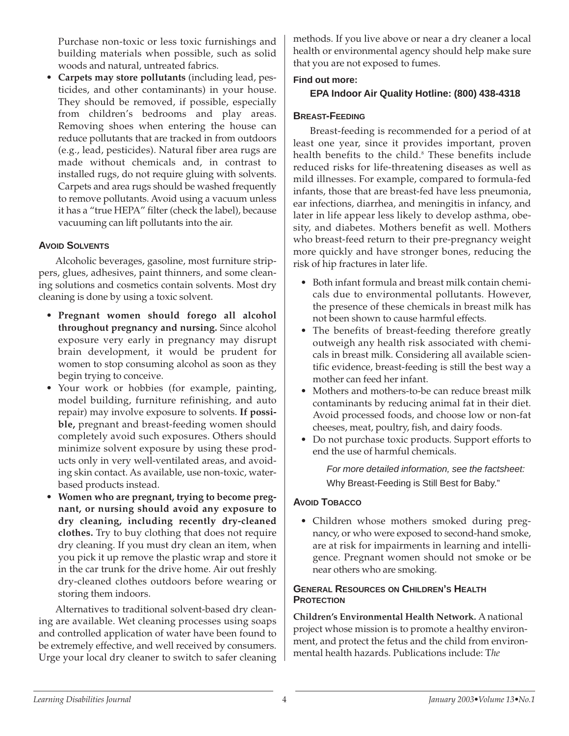Purchase non-toxic or less toxic furnishings and building materials when possible, such as solid woods and natural, untreated fabrics.

• **Carpets may store pollutants** (including lead, pesticides, and other contaminants) in your house. They should be removed, if possible, especially from children's bedrooms and play areas. Removing shoes when entering the house can reduce pollutants that are tracked in from outdoors (e.g., lead, pesticides). Natural fiber area rugs are made without chemicals and, in contrast to installed rugs, do not require gluing with solvents. Carpets and area rugs should be washed frequently to remove pollutants. Avoid using a vacuum unless it has a "true HEPA" filter (check the label), because vacuuming can lift pollutants into the air.

## **AVOID SOLVENTS**

Alcoholic beverages, gasoline, most furniture strippers, glues, adhesives, paint thinners, and some cleaning solutions and cosmetics contain solvents. Most dry cleaning is done by using a toxic solvent.

- **Pregnant women should forego all alcohol throughout pregnancy and nursing.** Since alcohol exposure very early in pregnancy may disrupt brain development, it would be prudent for women to stop consuming alcohol as soon as they begin trying to conceive.
- Your work or hobbies (for example, painting, model building, furniture refinishing, and auto repair) may involve exposure to solvents. **If possible,** pregnant and breast-feeding women should completely avoid such exposures. Others should minimize solvent exposure by using these products only in very well-ventilated areas, and avoiding skin contact. As available, use non-toxic, waterbased products instead.
- **Women who are pregnant, trying to become pregnant, or nursing should avoid any exposure to dry cleaning, including recently dry-cleaned clothes.** Try to buy clothing that does not require dry cleaning. If you must dry clean an item, when you pick it up remove the plastic wrap and store it in the car trunk for the drive home. Air out freshly dry-cleaned clothes outdoors before wearing or storing them indoors.

Alternatives to traditional solvent-based dry cleaning are available. Wet cleaning processes using soaps and controlled application of water have been found to be extremely effective, and well received by consumers. Urge your local dry cleaner to switch to safer cleaning methods. If you live above or near a dry cleaner a local health or environmental agency should help make sure that you are not exposed to fumes.

# **Find out more:**

# **EPA Indoor Air Quality Hotline: (800) 438-4318**

# **BREAST-FEEDING**

Breast-feeding is recommended for a period of at least one year, since it provides important, proven health benefits to the child.<sup>8</sup> These benefits include reduced risks for life-threatening diseases as well as mild illnesses. For example, compared to formula-fed infants, those that are breast-fed have less pneumonia, ear infections, diarrhea, and meningitis in infancy, and later in life appear less likely to develop asthma, obesity, and diabetes. Mothers benefit as well. Mothers who breast-feed return to their pre-pregnancy weight more quickly and have stronger bones, reducing the risk of hip fractures in later life.

- Both infant formula and breast milk contain chemicals due to environmental pollutants. However, the presence of these chemicals in breast milk has not been shown to cause harmful effects.
- The benefits of breast-feeding therefore greatly outweigh any health risk associated with chemicals in breast milk. Considering all available scientific evidence, breast-feeding is still the best way a mother can feed her infant.
- Mothers and mothers-to-be can reduce breast milk contaminants by reducing animal fat in their diet. Avoid processed foods, and choose low or non-fat cheeses, meat, poultry, fish, and dairy foods.
- Do not purchase toxic products. Support efforts to end the use of harmful chemicals.

For more detailed information, see the factsheet: Why Breast-Feeding is Still Best for Baby."

# **AVOID TOBACCO**

• Children whose mothers smoked during pregnancy, or who were exposed to second-hand smoke, are at risk for impairments in learning and intelligence. Pregnant women should not smoke or be near others who are smoking.

#### **GENERAL RESOURCES ON CHILDREN'S HEALTH PROTECTION**

**Children's Environmental Health Network.** A national project whose mission is to promote a healthy environment, and protect the fetus and the child from environmental health hazards. Publications include: T*he*